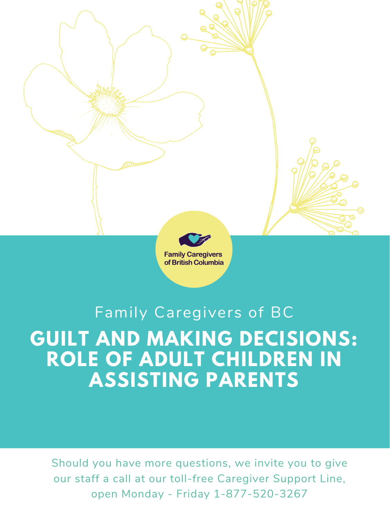

# **GUILT AND MAKING DECISIONS: ROLE OF ADULT CHILDREN IN ASSISTING PARENTS** Family Caregivers of BC

Should you have more questions, we invite you to give our staff a call at our toll-free Caregiver Support Line, open Monday - Friday 1-877-520-3267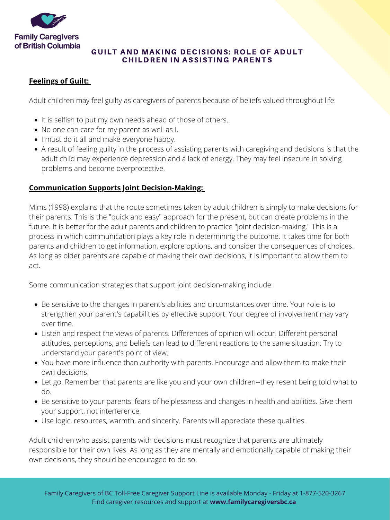

## GUILT AND MAKING DECISIONS: ROLE OF ADULT CHILDREN IN ASSISTING PARENTS

- $\bullet$  It is selfish to put my own needs ahead of those of others.
- No one can care for my parent as well as I.
- I must do it all and make everyone happy.
- A result of feeling guilty in the process of assisting parents with caregiving and decisions is that the adult child may experience depression and a lack of energy. They may feel insecure in solving problems and become overprotective.

- Be sensitive to the changes in parent's abilities and circumstances over time. Your role is to strengthen your parent's capabilities by effective support. Your degree of involvement may vary over time.
- Listen and respect the views of parents. Differences of opinion will occur. Different personal attitudes, perceptions, and beliefs can lead to different reactions to the same situation. Try to understand your parent's point of view.
- You have more influence than authority with parents. Encourage and allow them to make their own decisions.
- Let go. Remember that parents are like you and your own children--they resent being told what to do.
- Be sensitive to your parents' fears of helplessness and changes in health and abilities. Give them your support, not interference.
- Use logic, resources, warmth, and sincerity. Parents will appreciate these qualities.

## **Feelings of Guilt:**

Adult children may feel guilty as caregivers of parents because of beliefs valued throughout life:

### **Communication Supports Joint Decision-Making:**

Mims (1998) explains that the route sometimes taken by adult children is simply to make decisions for their parents. This is the "quick and easy" approach for the present, but can create problems in the future. It is better for the adult parents and children to practice "joint decision-making." This is a process in which communication plays a key role in determining the outcome. It takes time for both parents and children to get information, explore options, and consider the consequences of choices. As long as older parents are capable of making their own decisions, it is important to allow them to act.

Some communication strategies that support joint decision-making include:

Adult children who assist parents with decisions must recognize that parents are ultimately responsible for their own lives. As long as they are mentally and emotionally capable of making their own decisions, they should be encouraged to do so.

Family Caregivers of BC Toll-Free Caregiver Support Line is available Monday - Friday at 1-877-520-3267 Find caregiver resources and support at **[www.familycaregiversbc.ca](http://www.familycaregiversbc.ca/)**